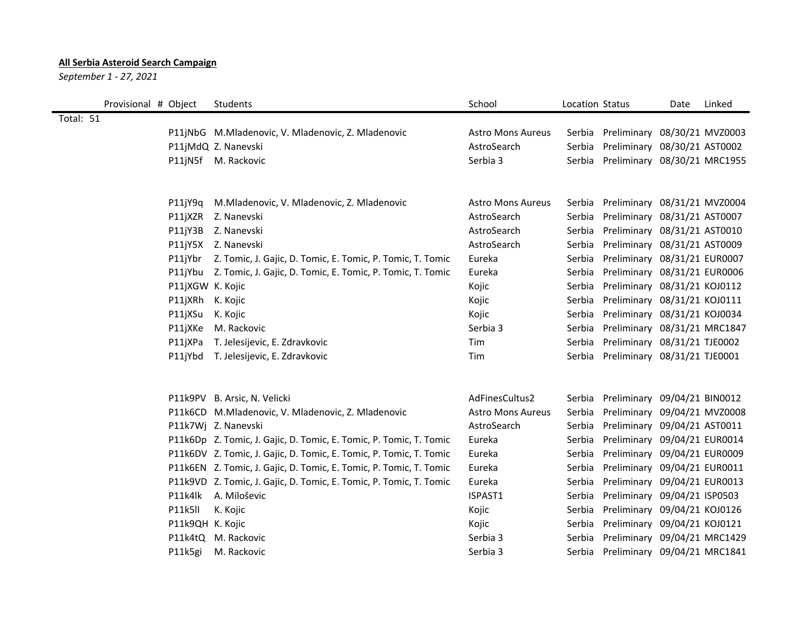## **All Serbia Asteroid Search Campaign**

*September 1 - 27, 2021*

|           | Provisional # Object |                  | Students                                                           | School                   | Location Status |                                     | Date | Linked |
|-----------|----------------------|------------------|--------------------------------------------------------------------|--------------------------|-----------------|-------------------------------------|------|--------|
| Total: 51 |                      |                  |                                                                    |                          |                 |                                     |      |        |
|           |                      |                  | P11jNbG M.Mladenovic, V. Mladenovic, Z. Mladenovic                 | <b>Astro Mons Aureus</b> |                 | Serbia Preliminary 08/30/21 MVZ0003 |      |        |
|           |                      |                  | P11jMdQ Z. Nanevski                                                | AstroSearch              | Serbia          | Preliminary 08/30/21 AST0002        |      |        |
|           |                      |                  | P11jN5f M. Rackovic                                                | Serbia 3                 | Serbia          | Preliminary 08/30/21 MRC1955        |      |        |
|           |                      |                  |                                                                    |                          |                 |                                     |      |        |
|           |                      | $P11$ j $Y9q$    | M.Mladenovic, V. Mladenovic, Z. Mladenovic                         | <b>Astro Mons Aureus</b> | Serbia          | Preliminary 08/31/21 MVZ0004        |      |        |
|           |                      |                  | P11jXZR Z. Nanevski                                                | AstroSearch              | Serbia          | Preliminary 08/31/21 AST0007        |      |        |
|           |                      |                  | P11jY3B Z. Nanevski                                                | AstroSearch              | Serbia          | Preliminary 08/31/21 AST0010        |      |        |
|           |                      |                  | P11jY5X Z. Nanevski                                                | AstroSearch              | Serbia          | Preliminary 08/31/21 AST0009        |      |        |
|           |                      |                  | P11jYbr Z. Tomic, J. Gajic, D. Tomic, E. Tomic, P. Tomic, T. Tomic | Eureka                   | Serbia          | Preliminary 08/31/21 EUR0007        |      |        |
|           |                      |                  | P11jYbu Z. Tomic, J. Gajic, D. Tomic, E. Tomic, P. Tomic, T. Tomic | Eureka                   | Serbia          | Preliminary 08/31/21 EUR0006        |      |        |
|           |                      | P11jXGW K. Kojic |                                                                    | Kojic                    | Serbia          | Preliminary 08/31/21 KOJ0112        |      |        |
|           |                      | P11jXRh K. Kojic |                                                                    | Kojic                    | Serbia          | Preliminary 08/31/21 KOJ0111        |      |        |
|           |                      | P11jXSu          | K. Kojic                                                           | Kojic                    | Serbia          | Preliminary 08/31/21 KOJ0034        |      |        |
|           |                      | P11jXKe          | M. Rackovic                                                        | Serbia 3                 | Serbia          | Preliminary 08/31/21 MRC1847        |      |        |
|           |                      | P11jXPa          | T. Jelesijevic, E. Zdravkovic                                      | Tim                      | Serbia          | Preliminary 08/31/21 TJE0002        |      |        |
|           |                      | P11jYbd          | T. Jelesijevic, E. Zdravkovic                                      | Tim                      | Serbia          | Preliminary 08/31/21 TJE0001        |      |        |
|           |                      |                  |                                                                    |                          |                 |                                     |      |        |
|           |                      |                  | P11k9PV B. Arsic, N. Velicki                                       | AdFinesCultus2           | Serbia          | Preliminary 09/04/21 BIN0012        |      |        |
|           |                      |                  | P11k6CD M.Mladenovic, V. Mladenovic, Z. Mladenovic                 | <b>Astro Mons Aureus</b> | Serbia          | Preliminary 09/04/21 MVZ0008        |      |        |
|           |                      |                  | P11k7Wj Z. Nanevski                                                | AstroSearch              | Serbia          | Preliminary 09/04/21 AST0011        |      |        |
|           |                      |                  | P11k6Dp Z. Tomic, J. Gajic, D. Tomic, E. Tomic, P. Tomic, T. Tomic | Eureka                   | Serbia          | Preliminary 09/04/21 EUR0014        |      |        |
|           |                      |                  | P11k6DV Z. Tomic, J. Gajic, D. Tomic, E. Tomic, P. Tomic, T. Tomic | Eureka                   | Serbia          | Preliminary 09/04/21 EUR0009        |      |        |
|           |                      |                  | P11k6EN Z. Tomic, J. Gajic, D. Tomic, E. Tomic, P. Tomic, T. Tomic | Eureka                   | Serbia          | Preliminary 09/04/21 EUR0011        |      |        |
|           |                      |                  | P11k9VD Z. Tomic, J. Gajic, D. Tomic, E. Tomic, P. Tomic, T. Tomic | Eureka                   | Serbia          | Preliminary 09/04/21 EUR0013        |      |        |
|           |                      | P11k4lk          | A. Miloševic                                                       | ISPAST1                  | Serbia          | Preliminary 09/04/21 ISP0503        |      |        |
|           |                      | P11k5II          | K. Kojic                                                           | Kojic                    | Serbia          | Preliminary 09/04/21 KOJ0126        |      |        |
|           |                      | P11k9QH K. Kojic |                                                                    | Kojic                    | Serbia          | Preliminary 09/04/21 KOJ0121        |      |        |
|           |                      |                  | P11k4tQ M. Rackovic                                                | Serbia 3                 | Serbia          | Preliminary 09/04/21 MRC1429        |      |        |
|           |                      | P11k5gi          | M. Rackovic                                                        | Serbia 3                 | Serbia          | Preliminary 09/04/21 MRC1841        |      |        |